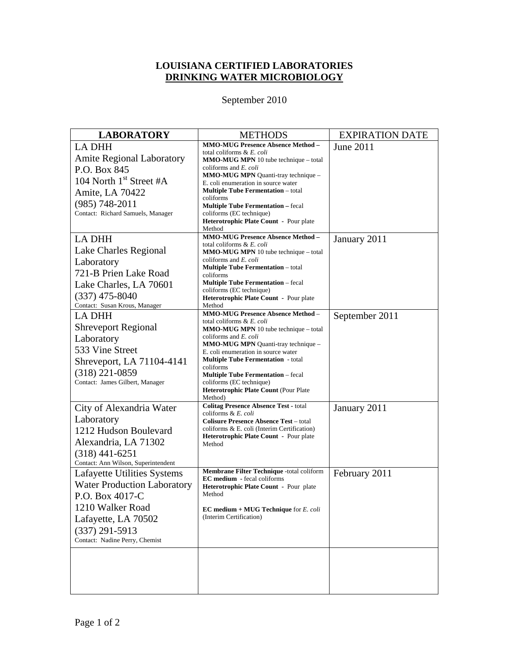## **LOUISIANA CERTIFIED LABORATORIES DRINKING WATER MICROBIOLOGY**

## September 2010

| <b>LABORATORY</b>                                       | <b>METHODS</b>                                                                               | <b>EXPIRATION DATE</b> |
|---------------------------------------------------------|----------------------------------------------------------------------------------------------|------------------------|
| <b>LA DHH</b>                                           | <b>MMO-MUG Presence Absence Method -</b>                                                     | June 2011              |
| <b>Amite Regional Laboratory</b>                        | total coliforms & E. coli<br><b>MMO-MUG MPN</b> 10 tube technique – total                    |                        |
| P.O. Box 845                                            | coliforms and <i>E. coli</i>                                                                 |                        |
| 104 North $1st$ Street #A                               | MMO-MUG MPN Quanti-tray technique -<br>E. coli enumeration in source water                   |                        |
| Amite, LA 70422                                         | <b>Multiple Tube Fermentation</b> – total                                                    |                        |
| $(985) 748 - 2011$                                      | coliforms                                                                                    |                        |
| Contact: Richard Samuels, Manager                       | <b>Multiple Tube Fermentation - fecal</b><br>coliforms (EC technique)                        |                        |
|                                                         | Heterotrophic Plate Count - Pour plate<br>Method                                             |                        |
| <b>LA DHH</b>                                           | <b>MMO-MUG Presence Absence Method -</b>                                                     | January 2011           |
| Lake Charles Regional                                   | total coliforms & E. coli<br><b>MMO-MUG MPN</b> 10 tube technique – total                    |                        |
| Laboratory                                              | coliforms and <i>E. coli</i>                                                                 |                        |
| 721-B Prien Lake Road                                   | <b>Multiple Tube Fermentation</b> - total<br>coliforms                                       |                        |
| Lake Charles, LA 70601                                  | <b>Multiple Tube Fermentation</b> – fecal                                                    |                        |
| $(337)$ 475-8040                                        | coliforms (EC technique)                                                                     |                        |
| Contact: Susan Krous, Manager                           | Heterotrophic Plate Count - Pour plate<br>Method                                             |                        |
| <b>LA DHH</b>                                           | <b>MMO-MUG Presence Absence Method -</b>                                                     | September 2011         |
| <b>Shreveport Regional</b>                              | total coliforms & E. coli<br>MMO-MUG MPN 10 tube technique - total                           |                        |
| Laboratory                                              | coliforms and <i>E. coli</i>                                                                 |                        |
| 533 Vine Street                                         | MMO-MUG MPN Quanti-tray technique -<br>E. coli enumeration in source water                   |                        |
| Shreveport, LA 71104-4141                               | <b>Multiple Tube Fermentation</b> - total                                                    |                        |
| $(318)$ 221-0859                                        | coliforms<br><b>Multiple Tube Fermentation</b> - fecal                                       |                        |
| Contact: James Gilbert, Manager                         | coliforms (EC technique)                                                                     |                        |
|                                                         | Heterotrophic Plate Count (Pour Plate<br>Method)                                             |                        |
| City of Alexandria Water                                | <b>Colitag Presence Absence Test - total</b>                                                 | January 2011           |
| Laboratory                                              | coliforms & E. coli                                                                          |                        |
| 1212 Hudson Boulevard                                   | <b>Colisure Presence Absence Test – total</b><br>coliforms & E. coli (Interim Certification) |                        |
| Alexandria, LA 71302                                    | Heterotrophic Plate Count - Pour plate                                                       |                        |
|                                                         | Method                                                                                       |                        |
| $(318)$ 441-6251<br>Contact: Ann Wilson, Superintendent |                                                                                              |                        |
| Lafayette Utilities Systems                             | <b>Membrane Filter Technique -total coliform</b>                                             | February 2011          |
| <b>Water Production Laboratory</b>                      | <b>EC</b> medium - fecal coliforms<br>Heterotrophic Plate Count - Pour plate                 |                        |
| P.O. Box 4017-C                                         | Method                                                                                       |                        |
| 1210 Walker Road                                        | EC medium + MUG Technique for E. coli                                                        |                        |
| Lafayette, LA 70502                                     | (Interim Certification)                                                                      |                        |
| $(337)$ 291-5913                                        |                                                                                              |                        |
| Contact: Nadine Perry, Chemist                          |                                                                                              |                        |
|                                                         |                                                                                              |                        |
|                                                         |                                                                                              |                        |
|                                                         |                                                                                              |                        |
|                                                         |                                                                                              |                        |